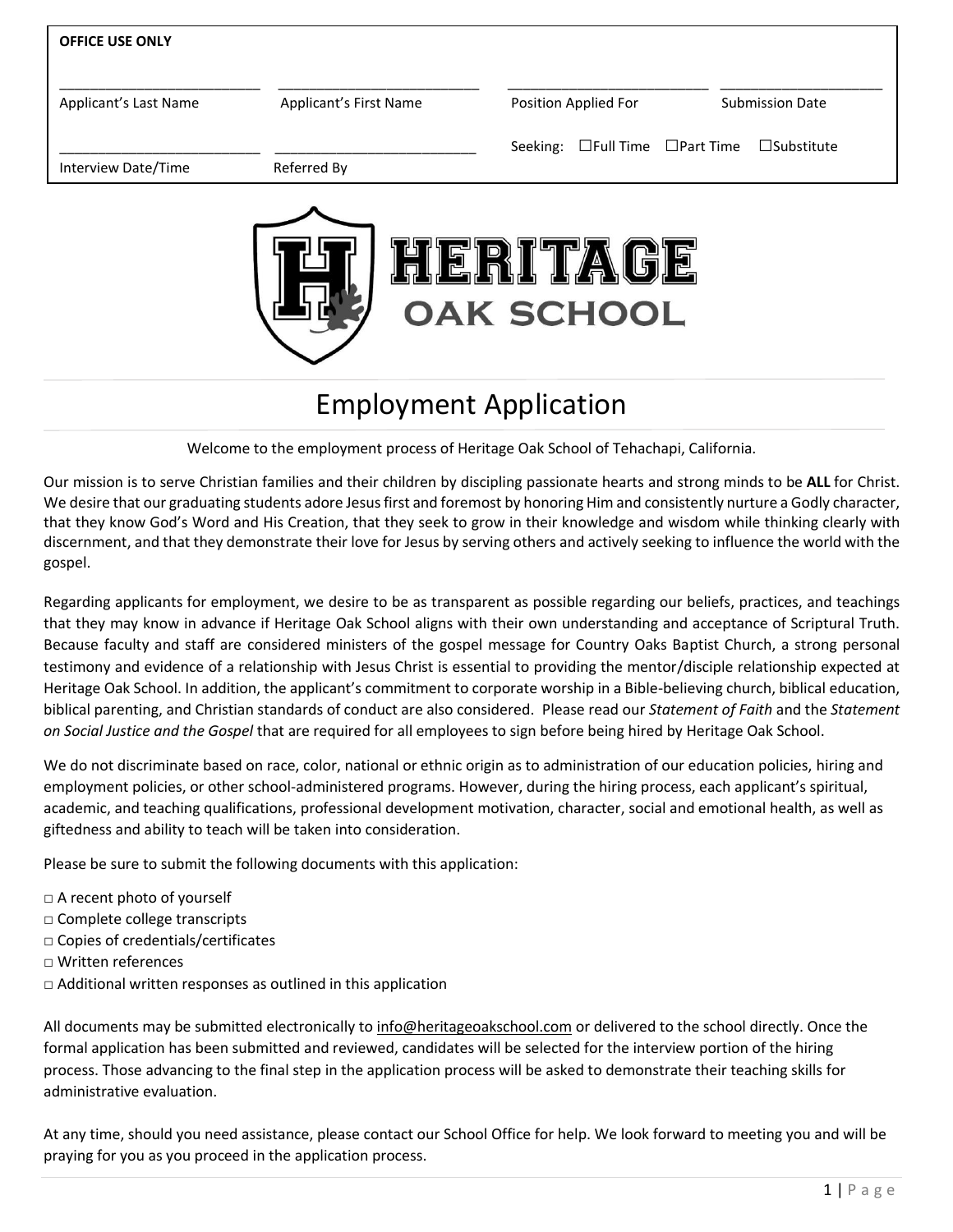| <b>OFFICE USE ONLY</b> |                        |                                |                        |
|------------------------|------------------------|--------------------------------|------------------------|
| Applicant's Last Name  | Applicant's First Name | Position Applied For           | <b>Submission Date</b> |
| Interview Date/Time    | Referred By            | Seeking: □Full Time □Part Time | $\square$ Substitute   |
|                        |                        |                                |                        |
|                        |                        |                                |                        |

# Employment Application

**OAK SCHOOL** 

Welcome to the employment process of Heritage Oak School of Tehachapi, California.

Our mission is to serve Christian families and their children by discipling passionate hearts and strong minds to be **ALL** for Christ. We desire that our graduating students adore Jesus first and foremost by honoring Him and consistently nurture a Godly character, that they know God's Word and His Creation, that they seek to grow in their knowledge and wisdom while thinking clearly with discernment, and that they demonstrate their love for Jesus by serving others and actively seeking to influence the world with the gospel.

Regarding applicants for employment, we desire to be as transparent as possible regarding our beliefs, practices, and teachings that they may know in advance if Heritage Oak School aligns with their own understanding and acceptance of Scriptural Truth. Because faculty and staff are considered ministers of the gospel message for Country Oaks Baptist Church, a strong personal testimony and evidence of a relationship with Jesus Christ is essential to providing the mentor/disciple relationship expected at Heritage Oak School. In addition, the applicant's commitment to corporate worship in a Bible-believing church, biblical education, biblical parenting, and Christian standards of conduct are also considered. Please read our *Statement of Faith* and the *Statement on Social Justice and the Gospel* that are required for all employees to sign before being hired by Heritage Oak School.

We do not discriminate based on race, color, national or ethnic origin as to administration of our education policies, hiring and employment policies, or other school-administered programs. However, during the hiring process, each applicant's spiritual, academic, and teaching qualifications, professional development motivation, character, social and emotional health, as well as giftedness and ability to teach will be taken into consideration.

Please be sure to submit the following documents with this application:

- □ A recent photo of yourself
- □ Complete college transcripts
- □ Copies of credentials/certificates
- □ Written references
- $\Box$  Additional written responses as outlined in this application

All documents may be submitted electronically to [info@heritageoakschool.com](mailto:info@heritageoakschool.com) or delivered to the school directly. Once the formal application has been submitted and reviewed, candidates will be selected for the interview portion of the hiring process. Those advancing to the final step in the application process will be asked to demonstrate their teaching skills for administrative evaluation.

At any time, should you need assistance, please contact our School Office for help. We look forward to meeting you and will be praying for you as you proceed in the application process.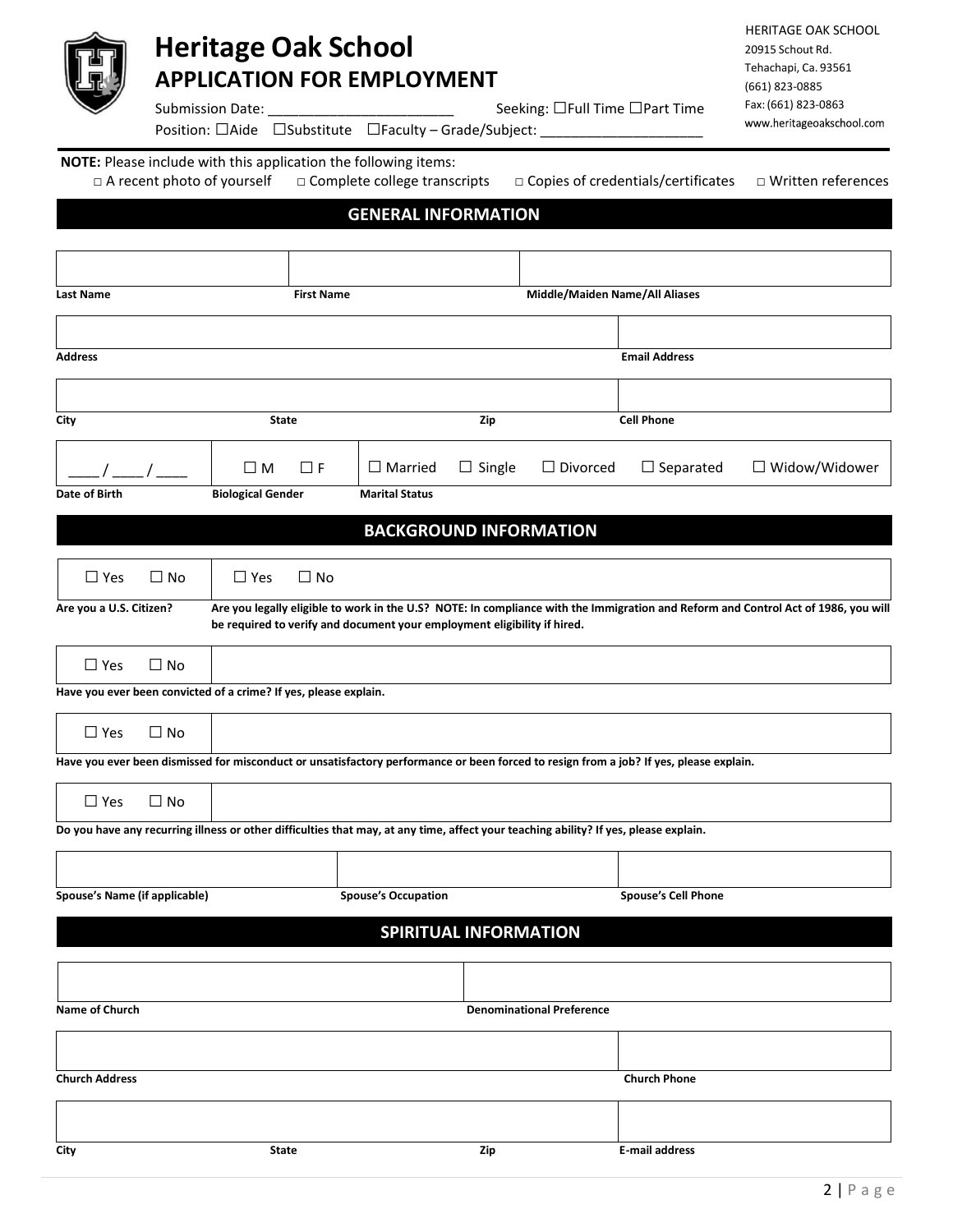

# **Heritage Oak School**

**APPLICATION FOR EMPLOYMENT**

HERITAGE OAK SCHOOL 20915 Schout Rd. Tehachapi, Ca. 93561 (661) 823-0885 Fax:(661) 823-0863www.heritageoakschool.com

Submission Date: \_\_\_\_\_\_\_\_\_\_\_\_\_\_\_\_\_\_\_\_\_\_\_\_ Seeking: □Full Time □Part Time

Position: □Aide □Substitute □Faculty – Grade/Subject: \_

**NOTE:** Please include with this application the following items:

□ A recent photo of yourself □ Complete college transcripts □ Copies of credentials/certificates □ Written references

## **GENERAL INFORMATION**

| <b>Last Name</b>                                                 |              |                          | <b>First Name</b> |                                                                                                                                      |               | Middle/Maiden Name/All Aliases   |                                                                                                                                        |                                                                                                                                    |
|------------------------------------------------------------------|--------------|--------------------------|-------------------|--------------------------------------------------------------------------------------------------------------------------------------|---------------|----------------------------------|----------------------------------------------------------------------------------------------------------------------------------------|------------------------------------------------------------------------------------------------------------------------------------|
|                                                                  |              |                          |                   |                                                                                                                                      |               |                                  |                                                                                                                                        |                                                                                                                                    |
| <b>Address</b>                                                   |              |                          |                   |                                                                                                                                      |               |                                  | <b>Email Address</b>                                                                                                                   |                                                                                                                                    |
|                                                                  |              |                          |                   |                                                                                                                                      |               |                                  |                                                                                                                                        |                                                                                                                                    |
| City                                                             |              | State                    |                   |                                                                                                                                      | Zip           |                                  | <b>Cell Phone</b>                                                                                                                      |                                                                                                                                    |
|                                                                  |              | $\square$ M              | $\Box$ F          | $\Box$ Married                                                                                                                       | $\Box$ Single | $\Box$ Divorced                  | $\Box$ Separated                                                                                                                       | $\Box$ Widow/Widower                                                                                                               |
| Date of Birth                                                    |              | <b>Biological Gender</b> |                   | <b>Marital Status</b>                                                                                                                |               |                                  |                                                                                                                                        |                                                                                                                                    |
|                                                                  |              |                          |                   | <b>BACKGROUND INFORMATION</b>                                                                                                        |               |                                  |                                                                                                                                        |                                                                                                                                    |
| $\Box$ Yes                                                       | $\square$ No | $\Box$ Yes               | $\Box$ No         |                                                                                                                                      |               |                                  |                                                                                                                                        |                                                                                                                                    |
| Are you a U.S. Citizen?                                          |              |                          |                   | be required to verify and document your employment eligibility if hired.                                                             |               |                                  |                                                                                                                                        | Are you legally eligible to work in the U.S? NOTE: In compliance with the Immigration and Reform and Control Act of 1986, you will |
| $\Box$ Yes                                                       | $\Box$ No    |                          |                   |                                                                                                                                      |               |                                  |                                                                                                                                        |                                                                                                                                    |
| Have you ever been convicted of a crime? If yes, please explain. |              |                          |                   |                                                                                                                                      |               |                                  |                                                                                                                                        |                                                                                                                                    |
| $\Box$ Yes                                                       | $\Box$ No    |                          |                   |                                                                                                                                      |               |                                  |                                                                                                                                        |                                                                                                                                    |
|                                                                  |              |                          |                   |                                                                                                                                      |               |                                  | Have you ever been dismissed for misconduct or unsatisfactory performance or been forced to resign from a job? If yes, please explain. |                                                                                                                                    |
| $\Box$ Yes                                                       | $\Box$ No    |                          |                   |                                                                                                                                      |               |                                  |                                                                                                                                        |                                                                                                                                    |
|                                                                  |              |                          |                   | Do you have any recurring illness or other difficulties that may, at any time, affect your teaching ability? If yes, please explain. |               |                                  |                                                                                                                                        |                                                                                                                                    |
|                                                                  |              |                          |                   |                                                                                                                                      |               |                                  |                                                                                                                                        |                                                                                                                                    |
| Spouse's Name (if applicable)                                    |              |                          |                   | <b>Spouse's Occupation</b>                                                                                                           |               |                                  | <b>Spouse's Cell Phone</b>                                                                                                             |                                                                                                                                    |
|                                                                  |              |                          |                   | <b>SPIRITUAL INFORMATION</b>                                                                                                         |               |                                  |                                                                                                                                        |                                                                                                                                    |
|                                                                  |              |                          |                   |                                                                                                                                      |               |                                  |                                                                                                                                        |                                                                                                                                    |
| Name of Church                                                   |              |                          |                   |                                                                                                                                      |               | <b>Denominational Preference</b> |                                                                                                                                        |                                                                                                                                    |
|                                                                  |              |                          |                   |                                                                                                                                      |               |                                  |                                                                                                                                        |                                                                                                                                    |
|                                                                  |              |                          |                   |                                                                                                                                      |               |                                  |                                                                                                                                        |                                                                                                                                    |
| <b>Church Address</b>                                            |              |                          |                   |                                                                                                                                      |               |                                  | <b>Church Phone</b>                                                                                                                    |                                                                                                                                    |
|                                                                  |              |                          |                   |                                                                                                                                      |               |                                  |                                                                                                                                        |                                                                                                                                    |
| City                                                             |              | State                    |                   |                                                                                                                                      | Zip           |                                  | <b>E-mail address</b>                                                                                                                  |                                                                                                                                    |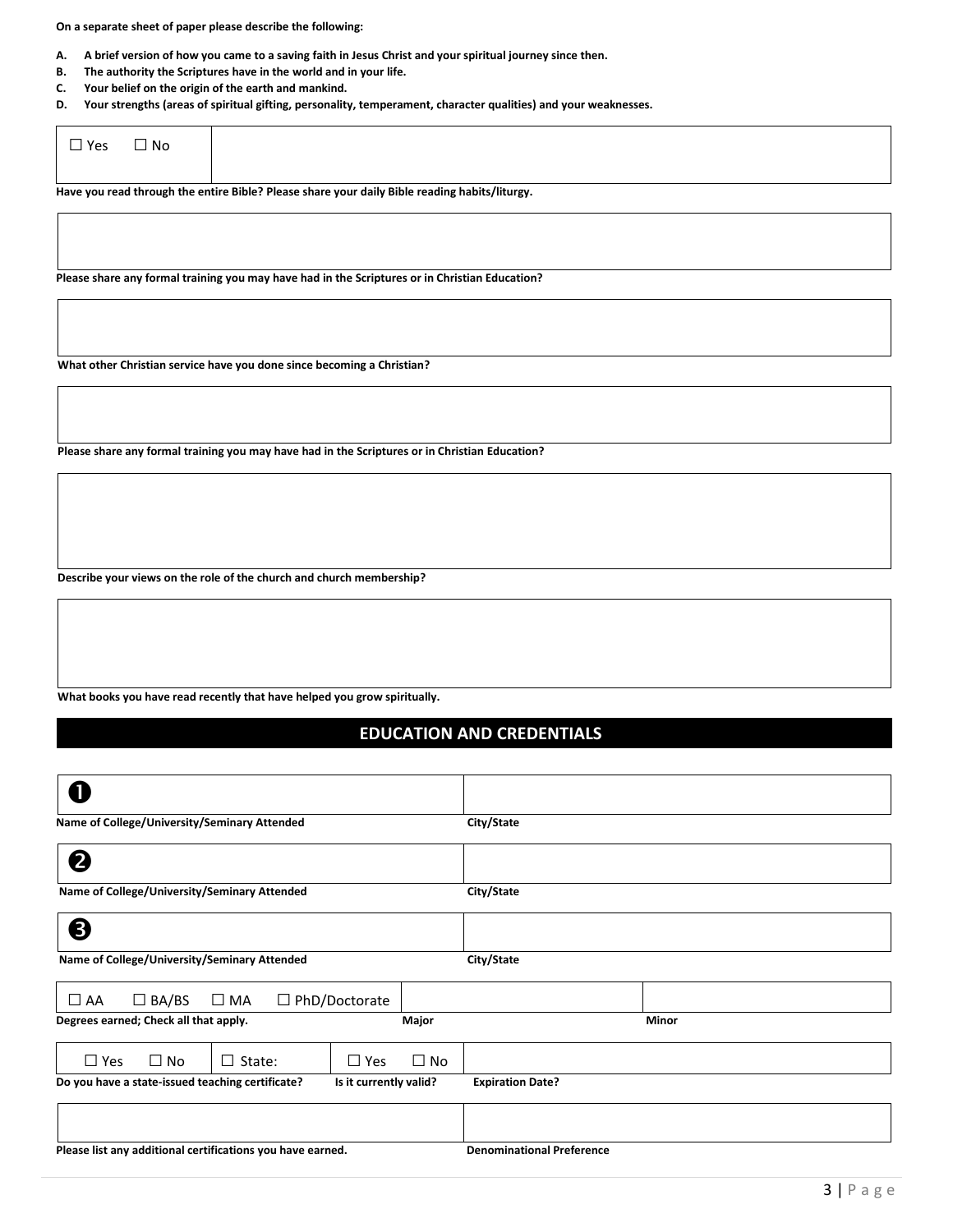**On a separate sheet of paper please describe the following:**

- **A. A brief version of how you came to a saving faith in Jesus Christ and your spiritual journey since then.**
- **B. The authority the Scriptures have in the world and in your life.**
- **C. Your belief on the origin of the earth and mankind.**
- **D. Your strengths (areas of spiritual gifting, personality, temperament, character qualities) and your weaknesses.**

| $\Box$ Yes | $\Box$ No |                                                                                               |
|------------|-----------|-----------------------------------------------------------------------------------------------|
|            |           | Have you read through the entire Bible? Please share your daily Bible reading habits/liturgy. |

**Please share any formal training you may have had in the Scriptures or in Christian Education?**

**What other Christian service have you done since becoming a Christian?**

**Please share any formal training you may have had in the Scriptures or in Christian Education?**

**Describe your views on the role of the church and church membership?**

**What books you have read recently that have helped you grow spiritually.** 

## **EDUCATION AND CREDENTIALS**

| Name of College/University/Seminary Attended               |                        |           | City/State                       |       |  |
|------------------------------------------------------------|------------------------|-----------|----------------------------------|-------|--|
| 2                                                          |                        |           |                                  |       |  |
| Name of College/University/Seminary Attended               |                        |           | City/State                       |       |  |
| ❸                                                          |                        |           |                                  |       |  |
| Name of College/University/Seminary Attended               |                        |           | City/State                       |       |  |
| $\Box$ BA/BS<br>$\Box$ AA<br>$\square$ MA                  | $\Box$ PhD/Doctorate   |           |                                  |       |  |
| Degrees earned; Check all that apply.                      |                        | Major     |                                  | Minor |  |
| $\Box$ No<br>$\Box$ State:<br>$\Box$ Yes                   | $\Box$ Yes             | $\Box$ No |                                  |       |  |
| Do you have a state-issued teaching certificate?           | Is it currently valid? |           | <b>Expiration Date?</b>          |       |  |
|                                                            |                        |           |                                  |       |  |
| Please list any additional certifications you have earned. |                        |           | <b>Denominational Preference</b> |       |  |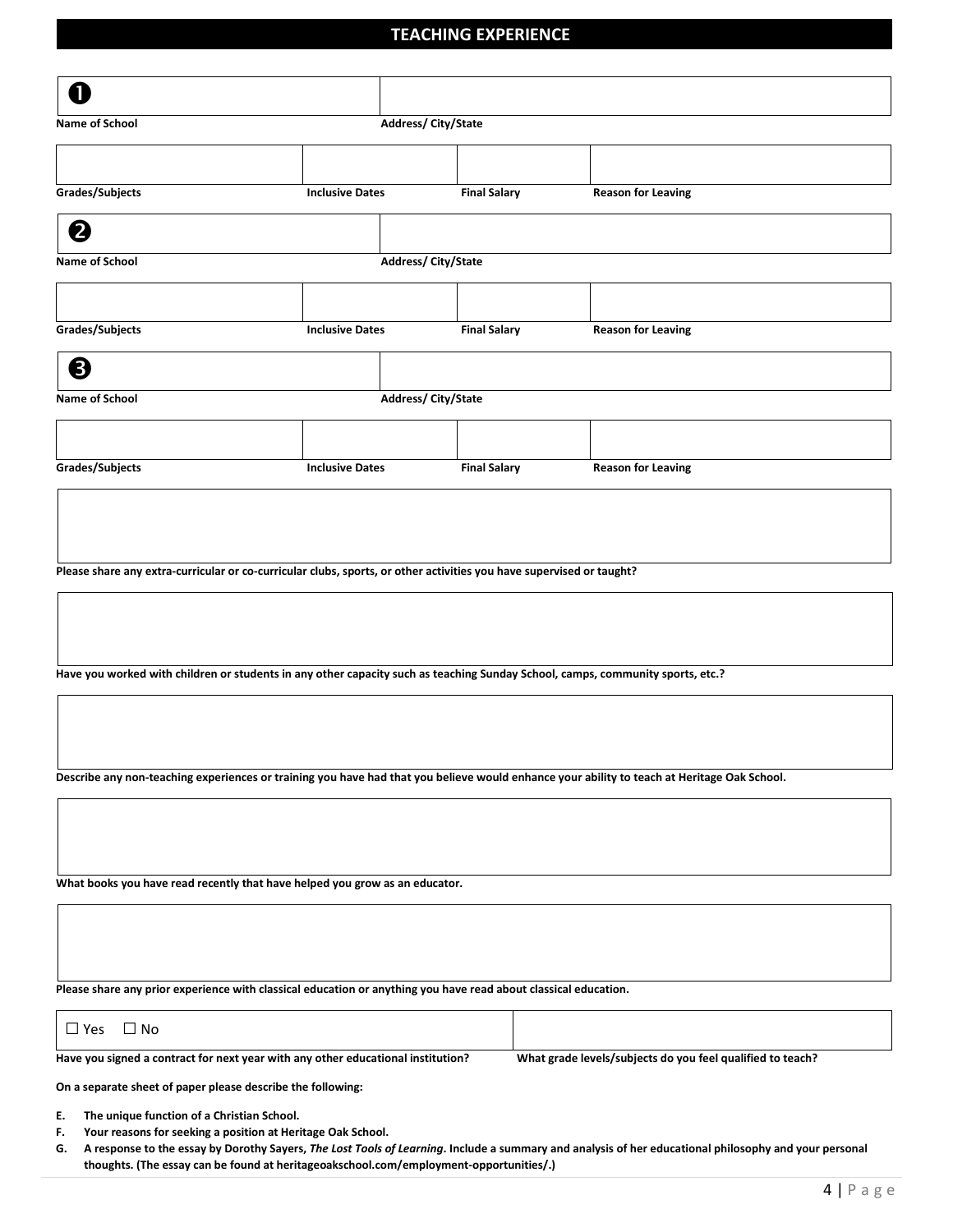#### **TEACHING EXPERIENCE**

| Ω                                                                                                                              |                        |                           |                                                                                                                                             |  |
|--------------------------------------------------------------------------------------------------------------------------------|------------------------|---------------------------|---------------------------------------------------------------------------------------------------------------------------------------------|--|
| <b>Name of School</b>                                                                                                          |                        | Address/City/State        |                                                                                                                                             |  |
|                                                                                                                                |                        |                           |                                                                                                                                             |  |
| Grades/Subjects                                                                                                                | <b>Inclusive Dates</b> | <b>Final Salary</b>       | <b>Reason for Leaving</b>                                                                                                                   |  |
| 2                                                                                                                              |                        |                           |                                                                                                                                             |  |
| <b>Name of School</b>                                                                                                          |                        | <b>Address/City/State</b> |                                                                                                                                             |  |
|                                                                                                                                |                        |                           |                                                                                                                                             |  |
|                                                                                                                                |                        |                           |                                                                                                                                             |  |
| Grades/Subjects                                                                                                                | <b>Inclusive Dates</b> | <b>Final Salary</b>       | <b>Reason for Leaving</b>                                                                                                                   |  |
| ❸                                                                                                                              |                        |                           |                                                                                                                                             |  |
| Name of School                                                                                                                 |                        | Address/City/State        |                                                                                                                                             |  |
|                                                                                                                                |                        |                           |                                                                                                                                             |  |
| Grades/Subjects                                                                                                                | <b>Inclusive Dates</b> | <b>Final Salary</b>       | <b>Reason for Leaving</b>                                                                                                                   |  |
|                                                                                                                                |                        |                           |                                                                                                                                             |  |
|                                                                                                                                |                        |                           |                                                                                                                                             |  |
|                                                                                                                                |                        |                           |                                                                                                                                             |  |
| Please share any extra-curricular or co-curricular clubs, sports, or other activities you have supervised or taught?           |                        |                           |                                                                                                                                             |  |
|                                                                                                                                |                        |                           |                                                                                                                                             |  |
|                                                                                                                                |                        |                           |                                                                                                                                             |  |
| Have you worked with children or students in any other capacity such as teaching Sunday School, camps, community sports, etc.? |                        |                           |                                                                                                                                             |  |
|                                                                                                                                |                        |                           |                                                                                                                                             |  |
|                                                                                                                                |                        |                           |                                                                                                                                             |  |
|                                                                                                                                |                        |                           |                                                                                                                                             |  |
|                                                                                                                                |                        |                           | Describe any non-teaching experiences or training you have had that you believe would enhance your ability to teach at Heritage Oak School. |  |
|                                                                                                                                |                        |                           |                                                                                                                                             |  |
|                                                                                                                                |                        |                           |                                                                                                                                             |  |
| What books you have read recently that have helped you grow as an educator.                                                    |                        |                           |                                                                                                                                             |  |
|                                                                                                                                |                        |                           |                                                                                                                                             |  |
|                                                                                                                                |                        |                           |                                                                                                                                             |  |
|                                                                                                                                |                        |                           |                                                                                                                                             |  |
| Please share any prior experience with classical education or anything you have read about classical education.                |                        |                           |                                                                                                                                             |  |

**Have you signed a contract for next year with any other educational institution? What grade levels/subjects do you feel qualified to teach?** 

**On a separate sheet of paper please describe the following:**

**E. The unique function of a Christian School.** 

□Yes □ No

- **F. Your reasons for seeking a position at Heritage Oak School.**
- **G. A response to the essay by Dorothy Sayers,** *The Lost Tools of Learning***. Include a summary and analysis of her educational philosophy and your personal thoughts. (The essay can be found at heritageoakschool.com/employment-opportunities/.)**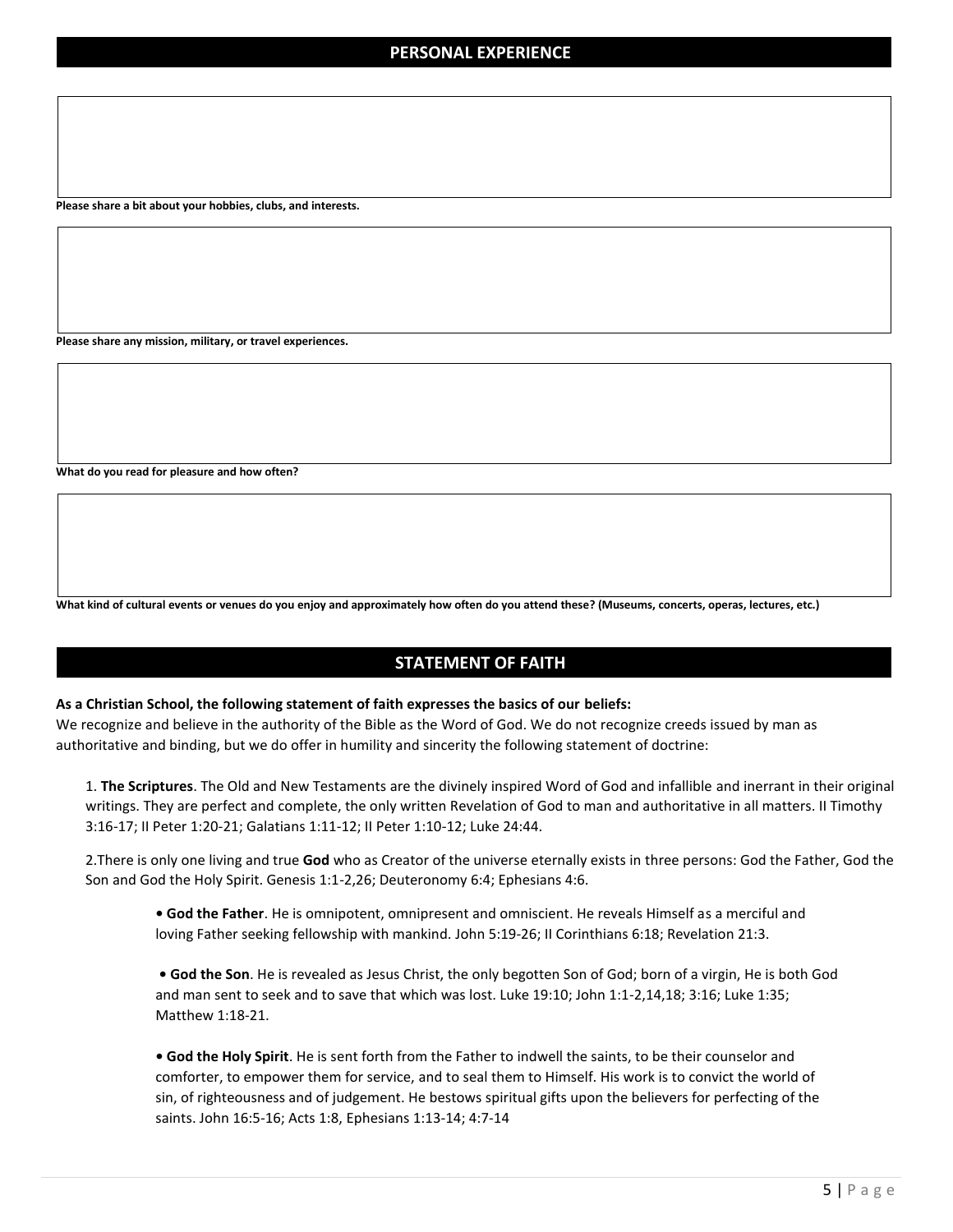**Please share a bit about your hobbies, clubs, and interests.**

**Please share any mission, military, or travel experiences.**

**What do you read for pleasure and how often?**

**What kind of cultural events or venues do you enjoy and approximately how often do you attend these? (Museums, concerts, operas, lectures, etc.)**

#### **STATEMENT OF FAITH**

#### **As a Christian School, the following statement of faith expresses the basics of our beliefs:**

We recognize and believe in the authority of the Bible as the Word of God. We do not recognize creeds issued by man as authoritative and binding, but we do offer in humility and sincerity the following statement of doctrine:

1. **The Scriptures**. The Old and New Testaments are the divinely inspired Word of God and infallible and inerrant in their original writings. They are perfect and complete, the only written Revelation of God to man and authoritative in all matters. II Timothy 3:16-17; II Peter 1:20-21; Galatians 1:11-12; II Peter 1:10-12; Luke 24:44.

2.There is only one living and true **God** who as Creator of the universe eternally exists in three persons: God the Father, God the Son and God the Holy Spirit. Genesis 1:1-2,26; Deuteronomy 6:4; Ephesians 4:6.

**• God the Father**. He is omnipotent, omnipresent and omniscient. He reveals Himself as a merciful and loving Father seeking fellowship with mankind. John 5:19-26; II Corinthians 6:18; Revelation 21:3.

**• God the Son**. He is revealed as Jesus Christ, the only begotten Son of God; born of a virgin, He is both God and man sent to seek and to save that which was lost. Luke 19:10; John 1:1-2,14,18; 3:16; Luke 1:35; Matthew 1:18-21.

**• God the Holy Spirit**. He is sent forth from the Father to indwell the saints, to be their counselor and comforter, to empower them for service, and to seal them to Himself. His work is to convict the world of sin, of righteousness and of judgement. He bestows spiritual gifts upon the believers for perfecting of the saints. John 16:5-16; Acts 1:8, Ephesians 1:13-14; 4:7-14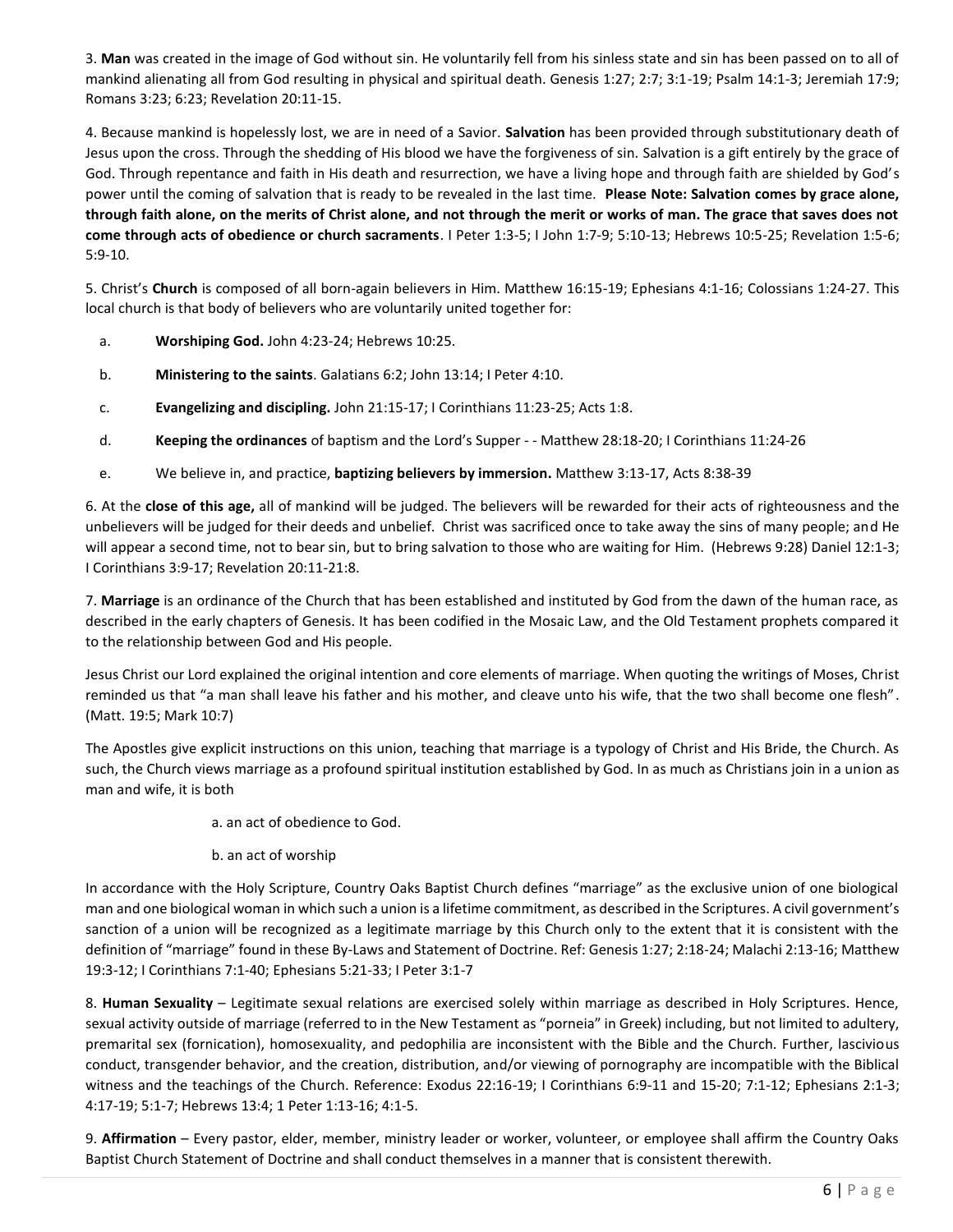3. **Man** was created in the image of God without sin. He voluntarily fell from his sinless state and sin has been passed on to all of mankind alienating all from God resulting in physical and spiritual death. Genesis 1:27; 2:7; 3:1-19; Psalm 14:1-3; Jeremiah 17:9; Romans 3:23; 6:23; Revelation 20:11-15.

4. Because mankind is hopelessly lost, we are in need of a Savior. **Salvation** has been provided through substitutionary death of Jesus upon the cross. Through the shedding of His blood we have the forgiveness of sin. Salvation is a gift entirely by the grace of God. Through repentance and faith in His death and resurrection, we have a living hope and through faith are shielded by God's power until the coming of salvation that is ready to be revealed in the last time. **Please Note: Salvation comes by grace alone, through faith alone, on the merits of Christ alone, and not through the merit or works of man. The grace that saves does not come through acts of obedience or church sacraments**. I Peter 1:3-5; I John 1:7-9; 5:10-13; Hebrews 10:5-25; Revelation 1:5-6; 5:9-10.

5. Christ's **Church** is composed of all born-again believers in Him. Matthew 16:15-19; Ephesians 4:1-16; Colossians 1:24-27. This local church is that body of believers who are voluntarily united together for:

- a. **Worshiping God.** John 4:23-24; Hebrews 10:25.
- b. **Ministering to the saints**. Galatians 6:2; John 13:14; I Peter 4:10.
- c. **Evangelizing and discipling.** John 21:15-17; I Corinthians 11:23-25; Acts 1:8.
- d. **Keeping the ordinances** of baptism and the Lord's Supper - Matthew 28:18-20; I Corinthians 11:24-26
- e. We believe in, and practice, **baptizing believers by immersion.** Matthew 3:13-17, Acts 8:38-39

6. At the **close of this age,** all of mankind will be judged. The believers will be rewarded for their acts of righteousness and the unbelievers will be judged for their deeds and unbelief. Christ was sacrificed once to take away the sins of many people; and He will appear a second time, not to bear sin, but to bring salvation to those who are waiting for Him. (Hebrews 9:28) Daniel 12:1-3; I Corinthians 3:9-17; Revelation 20:11-21:8.

7. **Marriage** is an ordinance of the Church that has been established and instituted by God from the dawn of the human race, as described in the early chapters of Genesis. It has been codified in the Mosaic Law, and the Old Testament prophets compared it to the relationship between God and His people.

Jesus Christ our Lord explained the original intention and core elements of marriage. When quoting the writings of Moses, Christ reminded us that "a man shall leave his father and his mother, and cleave unto his wife, that the two shall become one flesh". (Matt. 19:5; Mark 10:7)

The Apostles give explicit instructions on this union, teaching that marriage is a typology of Christ and His Bride, the Church. As such, the Church views marriage as a profound spiritual institution established by God. In as much as Christians join in a union as man and wife, it is both

a. an act of obedience to God.

b. an act of worship

In accordance with the Holy Scripture, Country Oaks Baptist Church defines "marriage" as the exclusive union of one biological man and one biological woman in which such a union is a lifetime commitment, as described in the Scriptures. A civil government's sanction of a union will be recognized as a legitimate marriage by this Church only to the extent that it is consistent with the definition of "marriage" found in these By-Laws and Statement of Doctrine. Ref: Genesis 1:27; 2:18-24; Malachi 2:13-16; Matthew 19:3-12; I Corinthians 7:1-40; Ephesians 5:21-33; I Peter 3:1-7

8. **Human Sexuality** – Legitimate sexual relations are exercised solely within marriage as described in Holy Scriptures. Hence, sexual activity outside of marriage (referred to in the New Testament as "porneia" in Greek) including, but not limited to adultery, premarital sex (fornication), homosexuality, and pedophilia are inconsistent with the Bible and the Church. Further, lascivious conduct, transgender behavior, and the creation, distribution, and/or viewing of pornography are incompatible with the Biblical witness and the teachings of the Church. Reference: Exodus 22:16-19; I Corinthians 6:9-11 and 15-20; 7:1-12; Ephesians 2:1-3; 4:17-19; 5:1-7; Hebrews 13:4; 1 Peter 1:13-16; 4:1-5.

9. **Affirmation** – Every pastor, elder, member, ministry leader or worker, volunteer, or employee shall affirm the Country Oaks Baptist Church Statement of Doctrine and shall conduct themselves in a manner that is consistent therewith.